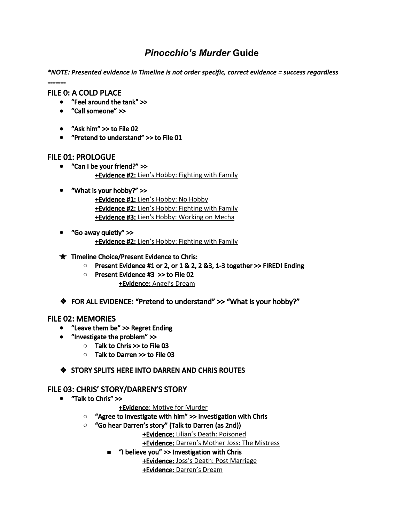# *Pinocchio's Murder* **Guide**

*\*NOTE: Presented evidence in Timeline is not order specific, correct evidence = success regardless*

------- FILE 0: A COLD PLACE

- "Feel around the tank" >>
- "Call someone" >>
- "Ask him" >> to File 02
- **●** "Pretend to understand" >> to File 01

# FILE 01: PROLOGUE

- **●** "Can I be your friend?" >> +Evidence #2: Lien's Hobby: Fighting with Family
- **●** "What is your hobby?" >> +Evidence #1: Lien's Hobby: No Hobby +Evidence #2: Lien's Hobby: Fighting with Family +Evidence #3: Lien's Hobby: Working on Mecha
- **●** "Go away quietly" >> +Evidence #2: Lien's Hobby: Fighting with Family

#### $\bigstar$  Timeline Choice/Present Evidence to Chris:

- **○** Present Evidence #1 or 2, or 1 & 2, 2 &3, 1-3 together >> FIRED! Ending
- Present Evidence #3 >> to File 02 +Evidence: Angel's Dream
- ❖ FOR ALL EVIDENCE: "Pretend to understand" >> "What is your hobby?"

# FILE 02: MEMORIES

- **●** "Leave them be" >> Regret Ending
- **●** "Investigate the problem" >>
	- **○** Talk to Chris >> to File 03
	- **○** Talk to Darren >> to File 03

# ❖ STORY SPLITS HERE INTO DARREN AND CHRIS ROUTES

# FILE 03: CHRIS' STORY/DARREN'S STORY

- **●** "Talk to Chris" >>
	- +Evidence: Motive for Murder
	- **○** "Agree to investigate with him" >> Investigation with Chris
	- **○** "Go hear Darren's story" (Talk to Darren (as 2nd))

+Evidence: Lilian's Death: Poisoned

+Evidence: Darren's Mother Joss: The Mistress

**■** "I believe you" >> Investigation with Chris

+Evidence: Joss's Death: Post Marriage

+Evidence: Darren's Dream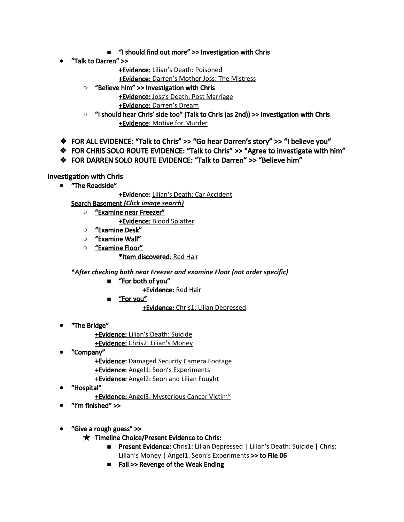- **■** "I should find out more" >> Investigation with Chris
- **●** "Talk to Darren" >>
	- +Evidence: Lilian's Death: Poisoned
	- +Evidence: Darren's Mother Joss: The Mistress
	- **○** "Believe him" >> Investigation with Chris +Evidence: Joss's Death: Post Marriage
		- +Evidence: Darren's Dream
	- **○** "I should hear Chris' side too" (Talk to Chris (as 2nd)) >> Investigation with Chris +Evidence: Motive for Murder
- ❖ FOR ALL EVIDENCE: "Talk to Chris" >> "Go hear Darren's story" >> "I believe you"
- ❖ FOR CHRIS SOLO ROUTE EVIDENCE: "Talk to Chris" >> "Agree to investigate with him"
- ❖ FOR DARREN SOLO ROUTE EVIDENCE: "Talk to Darren" >> "Believe him"

Investigation with Chris

**●** "The Roadside"

+Evidence: Lilian's Death: Car Accident

- Search Basement *(Click image search)*
	- **○** "Examine near Freezer" +Evidence: Blood Splatter
	- **○** "Examine Desk"
	- **○** "Examine Wall"
	- **○** "Examine Floor"

#### \*Item discovered: Red Hair

\**After checking both near Freezer and examine Floor (not order specific)*

- <u>"For both of you"</u>
	- +Evidence: Red Hair
- **■** "For you"

+Evidence: Chris1: Lilian Depressed

- **●** "The Bridge"
	- +Evidence: Lilian's Death: Suicide +Evidence: Chris2: Lilian's Money
- **●** "Company"
	- **+Evidence:** Damaged Security Camera Footage +Evidence: Angel1: Seon's Experiments
	- +Evidence: Angel2: Seon and Lilian Fought
- **●** "Hospital"
	- +Evidence: Angel3: Mysterious Cancer Victim"
- **●** "I'm finished" >>
- **●** "Give a rough guess" >>
	- ★ Timeline Choice/Present Evidence to Chris:
		- Present Evidence: Chris1: Lilian Depressed | Lilian's Death: Suicide | Chris: Lilian's Money | Angel1: Seon's Experiments >> to File 06
		- Fail >> Revenge of the Weak Ending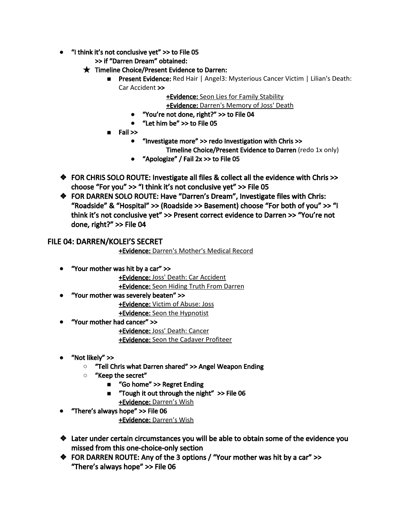- **●** "I think it's not conclusive yet" >> to File 05
	- >> if "Darren Dream" obtained:
	- $\bigstar$  Timeline Choice/Present Evidence to Darren:
		- Present Evidence: Red Hair | Angel3: Mysterious Cancer Victim | Lilian's Death: Car Accident >>

+Evidence: Seon Lies for Family Stability

+Evidence: Darren's Memory of Joss' Death

- **●** "You're not done, right?" >> to File 04
- **●** "Let him be" >> to File 05
- Fail >>
	- **●** "Investigate more" >> redo Investigation with Chris >>
		- Timeline Choice/Present Evidence to Darren (redo 1x only)
	- **●** "Apologize" / Fail 2x >> to File 05
- ❖ FOR CHRIS SOLO ROUTE: Investigate all files & collect all the evidence with Chris >> choose "For you" >> "I think it's not conclusive yet" >> File 05
- ❖ FOR DARREN SOLO ROUTE: Have "Darren's Dream", Investigate files with Chris: "Roadside" & "Hospital" >> (Roadside >> Basement) choose "For both of you" >> "I think it's not conclusive yet" >> Present correct evidence to Darren >> "You're not done, right?" >> File 04

# FILE 04: DARREN/KOLEI'S SECRET

+Evidence: Darren's Mother's Medical Record

**●** "Your mother was hit by a car" >>

+Evidence: Joss' Death: Car Accident +Evidence: Seon Hiding Truth From Darren

**●** "Your mother was severely beaten" >> +Evidence: Victim of Abuse: Joss

+Evidence: Seon the Hypnotist

**●** "Your mother had cancer" >>

+Evidence: Joss' Death: Cancer +Evidence: Seon the Cadaver Profiteer

- **●** "Not likely" >>
	- **○** "Tell Chris what Darren shared" >> Angel Weapon Ending
	- **○** "Keep the secret"
		- "Go home" >> Regret Ending
		- **■** "Tough it out through the night" >> File 06 +Evidence: Darren's Wish
- **●** "There's always hope" >> File 06

+Evidence: Darren's Wish

- ❖ Later under certain circumstances you will be able to obtain some of the evidence you missed from this one-choice-only section
- ❖ FOR DARREN ROUTE: Any of the 3 options / "Your mother was hit by a car" >> "There's always hope" >> File 06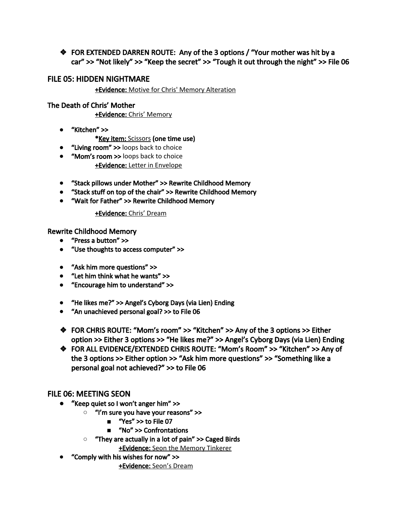❖ FOR EXTENDED DARREN ROUTE: Any of the 3 options / "Your mother was hit by a car" >> "Not likely" >> "Keep the secret" >> "Tough it out through the night" >> File 06

# FILE 05: HIDDEN NIGHTMARE

+Evidence: Motive for Chris' Memory Alteration

# The Death of Chris' Mother

+Evidence: Chris' Memory

- **●** "Kitchen" >>
	- \*Key item: Scissors (one time use)
- **●** "Living room" >> loops back to choice
- **●** "Mom's room >> loops back to choice +Evidence: Letter in Envelope
- **●** "Stack pillows under Mother" >> Rewrite Childhood Memory
- **●** "Stack stuff on top of the chair" >> Rewrite Childhood Memory
- **●** "Wait for Father" >> Rewrite Childhood Memory

# +Evidence: Chris' Dream

Rewrite Childhood Memory

- **●** "Press a button" >>
- **●** "Use thoughts to access computer" >>
- **●** "Ask him more questions" >>
- **●** "Let him think what he wants" >>
- **●** "Encourage him to understand" >>
- **●** "He likes me?" >> Angel's Cyborg Days (via Lien) Ending
- **●** "An unachieved personal goal? >> to File 06
- ❖ FOR CHRIS ROUTE: "Mom's room" >> "Kitchen" >> Any of the 3 options >> Either option >> Either 3 options >> "He likes me?" >> Angel's Cyborg Days (via Lien) Ending
- ❖ FOR ALL EVIDENCE/EXTENDED CHRIS ROUTE: "Mom's Room" >> "Kitchen" >> Any of the 3 options >> Either option >> "Ask him more questions" >> "Something like a personal goal not achieved?" >> to File 06

# FILE 06: MEETING SEON

- **●** "Keep quiet so I won't anger him" >>
	- **○** "I'm sure you have your reasons" >>
		- **"Yes" >> to File 07**
		- **■** "No" >> Confrontations
	- **○** "They are actually in a lot of pain" >> Caged Birds

**+Evidence:** Seon the Memory Tinkerer

**●** "Comply with his wishes for now" >>

+Evidence: Seon's Dream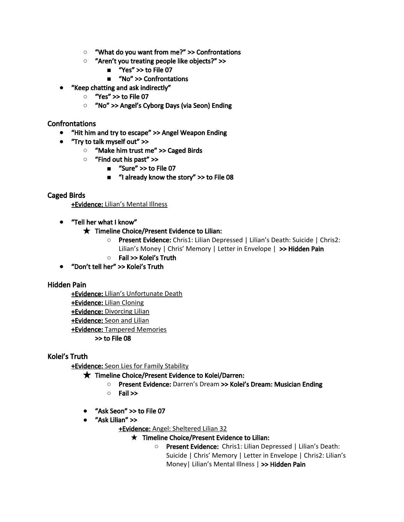- **○** "What do you want from me?" >> Confrontations
- **○** "Aren't you treating people like objects?" >>
	- **■** "Yes" >> to File 07
	- **■** "No" >> Confrontations
- **●** "Keep chatting and ask indirectly"
	- **○** "Yes" >> to File 07
	- **○** "No" >> Angel's Cyborg Days (via Seon) Ending

#### Confrontations

- **●** "Hit him and try to escape" >> Angel Weapon Ending
- **●** "Try to talk myself out" >>
	- **○** "Make him trust me" >> Caged Birds
	- **○** "Find out his past" >>
		- "Sure" >> to File 07
		- **■** "I already know the story" >> to File 08

#### Caged Birds

+Evidence: Lilian's Mental Illness

**●** "Tell her what I know"

#### $\star$  Timeline Choice/Present Evidence to Lilian:

- **○** Present Evidence: Chris1: Lilian Depressed | Lilian's Death: Suicide | Chris2: Lilian's Money | Chris' Memory | Letter in Envelope | >> Hidden Pain
- **○** Fail >> Kolei's Truth
- **●** "Don't tell her" >> Kolei's Truth

#### Hidden Pain

+Evidence: Lilian's Unfortunate Death +Evidence: Lilian Cloning +Evidence: Divorcing Lilian +Evidence: Seon and Lilian +Evidence: Tampered Memories >> to File 08

# Kolei's Truth

+Evidence: Seon Lies for Family Stability

#### ★ Timeline Choice/Present Evidence to Kolei/Darren:

- **○** Present Evidence: Darren's Dream >> Kolei's Dream: Musician Ending
- **○** Fail >>
- **●** "Ask Seon" >> to File 07
- **●** "Ask Lilian" >>

+Evidence: Angel: Sheltered Lilian 32

#### $\star$  Timeline Choice/Present Evidence to Lilian:

○ Present Evidence: Chris1: Lilian Depressed | Lilian's Death: Suicide | Chris' Memory | Letter in Envelope | Chris2: Lilian's Money| Lilian's Mental Illness | >> Hidden Pain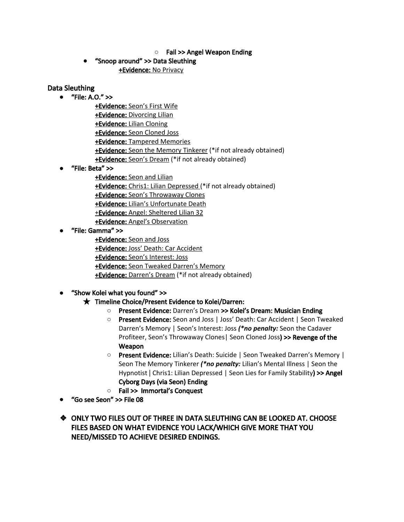#### **○** Fail >> Angel Weapon Ending

**●** "Snoop around" >> Data Sleuthing +Evidence: No Privacy

#### Data Sleuthing

- **●** "File: A.O." >>
	- +Evidence: Seon's First Wife +Evidence: Divorcing Lilian +Evidence: Lilian Cloning +Evidence: Seon Cloned Joss +Evidence: Tampered Memories +Evidence: Seon the Memory Tinkerer (\*if not already obtained) +Evidence: Seon's Dream (\*if not already obtained)
- **●** "File: Beta" >>

+Evidence: Seon and Lilian +Evidence: Chris1: Lilian Depressed (\*if not already obtained) +Evidence: Seon's Throwaway Clones +Evidence: Lilian's Unfortunate Death +Evidence: Angel: Sheltered Lilian 32 +Evidence: Angel's Observation

**●** "File: Gamma" >>

+Evidence: Seon and Joss +Evidence: Joss' Death: Car Accident +Evidence: Seon's Interest: Joss +Evidence: Seon Tweaked Darren's Memory +Evidence: Darren's Dream (\*if not already obtained)

**●** "Show Kolei what you found" >>

# ★ Timeline Choice/Present Evidence to Kolei/Darren:

- **○** Present Evidence: Darren's Dream >> Kolei's Dream: Musician Ending
- **○** Present Evidence: Seon and Joss | Joss' Death: Car Accident | Seon Tweaked Darren's Memory | Seon's Interest: Joss *(\*no penalty:* Seon the Cadaver Profiteer, Seon's Throwaway Clones| Seon Cloned Joss) >> Revenge of the Weapon
- **○** Present Evidence: Lilian's Death: Suicide | Seon Tweaked Darren's Memory | Seon The Memory Tinkerer *(\*no penalty:* Lilian's Mental Illness | Seon the Hypnotist | Chris1: Lilian Depressed | Seon Lies for Family Stability) >> Angel Cyborg Days (via Seon) Ending
- **○** Fail >> Immortal's Conquest
- **●** "Go see Seon" >> File 08
- ❖ ONLY TWO FILES OUT OF THREE IN DATA SLEUTHING CAN BE LOOKED AT. CHOOSE FILES BASED ON WHAT EVIDENCE YOU LACK/WHICH GIVE MORE THAT YOU NEED/MISSED TO ACHIEVE DESIRED ENDINGS.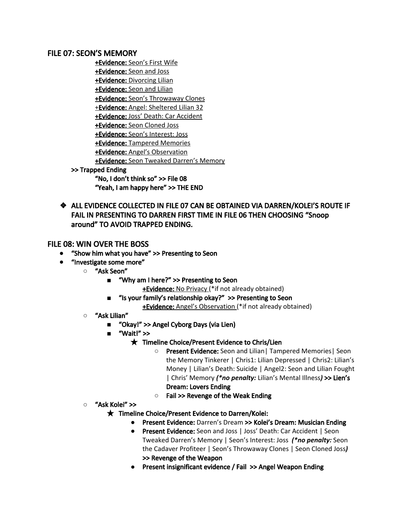#### FILE 07: SEON'S MEMORY

+Evidence: Seon's First Wife +Evidence: Seon and Joss +Evidence: Divorcing Lilian +Evidence: Seon and Lilian +Evidence: Seon's Throwaway Clones +Evidence: Angel: Sheltered Lilian 32 +Evidence: Joss' Death: Car Accident +Evidence: Seon Cloned Joss +Evidence: Seon's Interest: Joss +Evidence: Tampered Memories +Evidence: Angel's Observation +Evidence: Seon Tweaked Darren's Memory >> Trapped Ending "No, I don't think so" >> File 08 "Yeah, I am happy here" >> THE END

❖ ALL EVIDENCE COLLECTED IN FILE 07 CAN BE OBTAINED VIA DARREN/KOLEI'S ROUTE IF FAIL IN PRESENTING TO DARREN FIRST TIME IN FILE 06 THEN CHOOSING "Snoop around" TO AVOID TRAPPED ENDING.

# FILE 08: WIN OVER THE BOSS

- **●** "Show him what you have" >> Presenting to Seon
- **●** "Investigate some more"
	- **○** "Ask Seon"
		- **■** "Why am I here?" >> Presenting to Seon
			- **+Evidence:** No Privacy (\*if not already obtained)
		- **■** "Is your family's relationship okay?" >> Presenting to Seon
			- **+Evidence:** Angel's Observation (\*if not already obtained)
	- **○** "Ask Lilian"
		- **■** "Okay!" >> Angel Cyborg Days (via Lien)
		- **■** "Wait!" >>
			- ★ Timeline Choice/Present Evidence to Chris/Lien
				- **○** Present Evidence: Seon and Lilian| Tampered Memories| Seon the Memory Tinkerer | Chris1: Lilian Depressed | Chris2: Lilian's Money | Lilian's Death: Suicide | Angel2: Seon and Lilian Fought | Chris' Memory *(\*no penalty:* Lilian's Mental Illness*)* >> Lien's Dream: Lovers Ending
				- **○** Fail >> Revenge of the Weak Ending
	- **○** "Ask Kolei" >>

#### $\bigstar$  Timeline Choice/Present Evidence to Darren/Kolei:

- **●** Present Evidence: Darren's Dream >> Kolei's Dream: Musician Ending
- **●** Present Evidence: Seon and Joss | Joss' Death: Car Accident | Seon Tweaked Darren's Memory | Seon's Interest: Joss *(\*no penalty:* Seon the Cadaver Profiteer | Seon's Throwaway Clones | Seon Cloned Joss*)* >> Revenge of the Weapon
- **●** Present insignificant evidence / Fail >> Angel Weapon Ending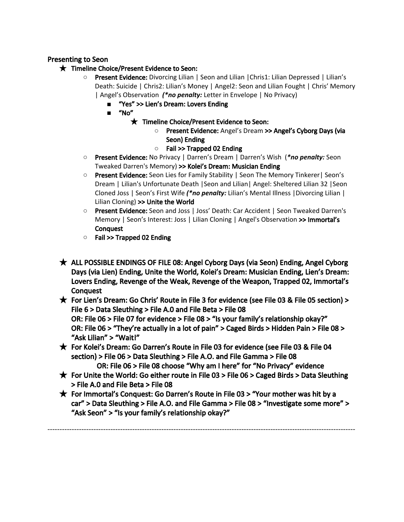# Presenting to Seon

- ★ Timeline Choice/Present Evidence to Seon:
	- **Present Evidence:** Divorcing Lilian | Seon and Lilian | Chris1: Lilian Depressed | Lilian's Death: Suicide | Chris2: Lilian's Money | Angel2: Seon and Lilian Fought | Chris' Memory | Angel's Observation *(\*no penalty:* Letter in Envelope | No Privacy)
		- **■** "Yes" >> Lien's Dream: Lovers Ending
		- **■** "No"
			- ★ Timeline Choice/Present Evidence to Seon:
				- **○** Present Evidence: Angel's Dream >> Angel's Cyborg Days (via Seon) Ending
				- **○** Fail >> Trapped 02 Ending
	- **Present Evidence:** No Privacy | Darren's Dream | Darren's Wish (\*no *penalty:* Seon Tweaked Darren's Memory) >> Kolei's Dream: Musician Ending
	- **○** Present Evidence: Seon Lies for Family Stability | Seon The Memory Tinkerer| Seon's Dream | Lilian's Unfortunate Death |Seon and Lilian| Angel: Sheltered Lilian 32 |Seon Cloned Joss | Seon's First Wife *(\*no penalty:* Lilian's Mental Illness |Divorcing Lilian | Lilian Cloning) >> Unite the World
	- **○** Present Evidence: Seon and Joss | Joss' Death: Car Accident | Seon Tweaked Darren's Memory | Seon's Interest: Joss | Lilian Cloning | Angel's Observation >> Immortal's **Conquest**
	- **○** Fail >> Trapped 02 Ending
- ★ ALL POSSIBLE ENDINGS OF FILE 08: Angel Cyborg Days (via Seon) Ending, Angel Cyborg Days (via Lien) Ending, Unite the World, Kolei's Dream: Musician Ending, Lien's Dream: Lovers Ending, Revenge of the Weak, Revenge of the Weapon, Trapped 02, Immortal's **Conquest**
- $\bigstar$  For Lien's Dream: Go Chris' Route in File 3 for evidence (see File 03 & File 05 section) > File 6 > Data Sleuthing > File A.0 and File Beta > File 08 OR: File 06 > File 07 for evidence > File 08 > "Is your family's relationship okay?" OR: File 06 > "They're actually in a lot of pain" > Caged Birds > Hidden Pain > File 08 > "Ask Lilian" > "Wait!"
- ★ For Kolei's Dream: Go Darren's Route in File 03 for evidence (see File 03 & File 04 section) > File 06 > Data Sleuthing > File A.O. and File Gamma > File 08
- OR: File 06 > File 08 choose "Why am I here" for "No Privacy" evidence  $\star$  For Unite the World: Go either route in File 03 > File 06 > Caged Birds > Data Sleuthing > File A.0 and File Beta > File 08
- ★ For Immortal's Conquest: Go Darren's Route in File 03 > "Your mother was hit by a car" > Data Sleuthing > File A.O. and File Gamma > File 08 > "Investigate some more" > "Ask Seon" > "Is your family's relationship okay?"

-------------------------------------------------------------------------------------------------------------------------------